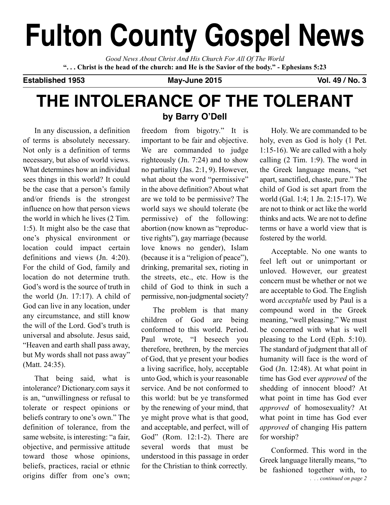# **fulton county Gospel news**

*Good News About Christ And His Church For All Of The World* "... Christ is the head of the church: and He is the Savior of the body." - Ephesians 5:23

**established 1953 May-June 2015 Vol. 49 / no. 3**

## **The InTolerance of The ToleranT**

In any discussion, a definition of terms is absolutely necessary. Not only is a definition of terms necessary, but also of world views. What determines how an individual sees things in this world? It could be the case that a person's family and/or friends is the strongest influence on how that person views the world in which he lives (2 Tim. 1:5). It might also be the case that one's physical environment or location could impact certain definitions and views (Jn. 4:20). For the child of God, family and location do not determine truth. God's word is the source of truth in the world (Jn. 17:17). A child of God can live in any location, under any circumstance, and still know the will of the Lord. God's truth is universal and absolute. Jesus said, "Heaven and earth shall pass away, but My words shall not pass away" (Matt. 24:35).

That being said, what is intolerance? Dictionary.com says it is an, "unwillingness or refusal to tolerate or respect opinions or beliefs contrary to one's own." The definition of tolerance, from the same website, is interesting: "a fair, objective, and permissive attitude toward those whose opinions, beliefs, practices, racial or ethnic origins differ from one's own;

### **by Barry o'Dell**

freedom from bigotry." It is important to be fair and objective. We are commanded to judge righteously (Jn. 7:24) and to show no partiality (Jas. 2:1, 9). However, what about the word "permissive" in the above definition? About what are we told to be permissive? The world says we should tolerate (be permissive) of the following: abortion (now known as "reproductive rights"), gay marriage (because love knows no gender), Islam (because it is a "religion of peace"), drinking, premarital sex, rioting in the streets, etc., etc. How is the child of God to think in such a permissive, non-judgmental society?

The problem is that many children of God are being conformed to this world. Period. Paul wrote, "I beseech you therefore, brethren, by the mercies of God, that ye present your bodies a living sacrifice, holy, acceptable unto God, which is your reasonable service. And be not conformed to this world: but be ye transformed by the renewing of your mind, that ye might prove what is that good, and acceptable, and perfect, will of God" (Rom. 12:1-2). There are several words that must be understood in this passage in order for the Christian to think correctly.

Holy. We are commanded to be holy, even as God is holy (1 Pet. 1:15-16). We are called with a holy calling (2 Tim. 1:9). The word in the Greek language means, "set apart, sanctified, chaste, pure." The child of God is set apart from the world (Gal. 1:4; 1 Jn. 2:15-17). We are not to think or act like the world thinks and acts. We are not to define terms or have a world view that is fostered by the world.

Acceptable. No one wants to feel left out or unimportant or unloved. However, our greatest concern must be whether or not we are acceptable to God. The English word *acceptable* used by Paul is a compound word in the Greek meaning, "well pleasing." We must be concerned with what is well pleasing to the Lord (Eph. 5:10). The standard of judgment that all of humanity will face is the word of God (Jn. 12:48). At what point in time has God ever *approved* of the shedding of innocent blood? At what point in time has God ever *approved* of homosexuality? At what point in time has God ever *approved* of changing His pattern for worship?

Conformed. This word in the Greek language literally means, "to be fashioned together with, to *. . . continued on page 2*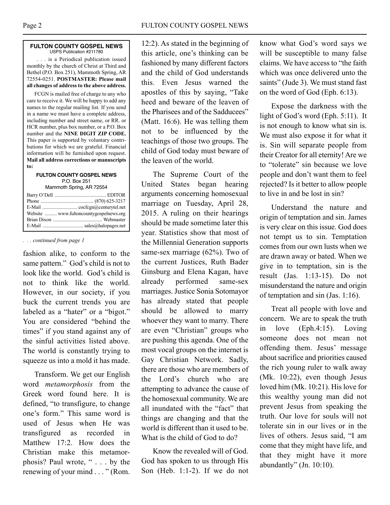### **fUlTon coUnTY GoSPel neWS** USPS Publication #211780

. . . is a Periodical publication issued monthly by the church of Christ at Third and Bethel (P.O. Box 251), Mammoth Spring, AR 72554-0251. **POSTMASTER: Please mail all changes of address to the above address.**

FCGN is mailed free of charge to any who care to receive it. We will be happy to add any names to the regular mailing list. If you send in a name we must have a complete address, including number and street name, or RR. or HCR number, plus box number, or a P.O. Box number and the **NINE DIGIT ZIP CODE.** This paper is supported by voluntary contributions for which we are grateful. Financial information will be furnished upon request. **Mail all address corrections or manuscripts to:**

#### **fUlTon coUnTY GoSPel neWS** P.O. Box 251 Mammoth Spring, AR 72554

|  | Website  www.fultoncountygospelnews.org |
|--|-----------------------------------------|
|  |                                         |
|  |                                         |

### *. . . continued from page 1*

fashion alike, to conform to the same pattern." God's child is not to look like the world. God's child is not to think like the world. However, in our society, if you buck the current trends you are labeled as a "hater" or a "bigot." You are considered "behind the times" if you stand against any of the sinful activities listed above. The world is constantly trying to squeeze us into a mold it has made.

Transform. We get our English word *metamorphosis* from the Greek word found here. It is defined, "to transfigure, to change one's form." This same word is used of Jesus when He was transfigured as recorded in Matthew 17:2. How does the Christian make this metamorphosis? Paul wrote, " . . . by the renewing of your mind . . . " (Rom.

12:2). As stated in the beginning of this article, one's thinking can be fashioned by many different factors and the child of God understands this. Even Jesus warned the apostles of this by saying, "Take heed and beware of the leaven of the Pharisees and of the Sadducees" (Matt. 16:6). He was telling them not to be influenced by the teachings of those two groups. The child of God today must beware of the leaven of the world.

The Supreme Court of the United States began hearing arguments concerning homosexual marriage on Tuesday, April 28, 2015. A ruling on their hearings should be made sometime later this year. Statistics show that most of the Millennial Generation supports same-sex marriage (62%). Two of the current Justices, Ruth Bader Ginsburg and Elena Kagan, have already performed same-sex marriages. Justice Sonia Sotomayor has already stated that people should be allowed to marry whoever they want to marry. There are even "Christian" groups who are pushing this agenda. One of the most vocal groups on the internet is Gay Christian Network. Sadly, there are those who are members of the Lord's church who are attempting to advance the cause of the homosexual community. We are all inundated with the "fact" that things are changing and that the world is different than it used to be. What is the child of God to do?

Know the revealed will of God. God has spoken to us through His Son (Heb. 1:1-2). If we do not know what God's word says we will be susceptible to many false claims. We have access to "the faith which was once delivered unto the saints" (Jude 3). We must stand fast on the word of God (Eph. 6:13).

Expose the darkness with the light of God's word (Eph. 5:11). It is not enough to know what sin is. We must also expose it for what it is. Sin will separate people from their Creator for all eternity! Are we to "tolerate" sin because we love people and don't want them to feel rejected? Is it better to allow people to live in and be lost in sin?

Understand the nature and origin of temptation and sin. James is very clear on this issue. God does not tempt us to sin. Temptation comes from our own lusts when we are drawn away or bated. When we give in to temptation, sin is the result (Jas. 1:13-15). Do not misunderstand the nature and origin of temptation and sin (Jas. 1:16).

Treat all people with love and concern. We are to speak the truth in love (Eph.4:15). Loving someone does not mean not offending them. Jesus' message about sacrifice and priorities caused the rich young ruler to walk away (Mk. 10:22), even though Jesus loved him (Mk. 10:21). His love for this wealthy young man did not prevent Jesus from speaking the truth. Our love for souls will not tolerate sin in our lives or in the lives of others. Jesus said, "I am come that they might have life, and that they might have it more abundantly" (Jn. 10:10).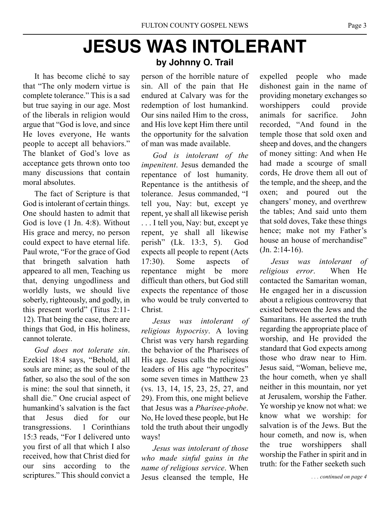## **JeSUS WaS InToleranT**

It has become cliché to say that "The only modern virtue is complete tolerance." This is a sad but true saying in our age. Most of the liberals in religion would argue that "God is love, and since He loves everyone, He wants people to accept all behaviors." The blanket of God's love as acceptance gets thrown onto too many discussions that contain moral absolutes.

The fact of Scripture is that God is intolerant of certain things. One should hasten to admit that God is love (1 Jn. 4:8). Without His grace and mercy, no person could expect to have eternal life. Paul wrote, "For the grace of God that bringeth salvation hath appeared to all men, Teaching us that, denying ungodliness and worldly lusts, we should live soberly, righteously, and godly, in this present world" (Titus 2:11- 12). That being the case, there are things that God, in His holiness, cannot tolerate.

*God does not tolerate sin*. Ezekiel 18:4 says, "Behold, all souls are mine; as the soul of the father, so also the soul of the son is mine: the soul that sinneth, it shall die." One crucial aspect of humankind's salvation is the fact that Jesus died for our transgressions. 1 Corinthians 15:3 reads, "For I delivered unto you first of all that which I also received, how that Christ died for our sins according to the scriptures." This should convict a

### **by Johnny o. Trail**

person of the horrible nature of sin. All of the pain that He endured at Calvary was for the redemption of lost humankind. Our sins nailed Him to the cross, and His love kept Him there until the opportunity for the salvation of man was made available.

*God is intolerant of the impenitent*. Jesus demanded the repentance of lost humanity. Repentance is the antithesis of tolerance. Jesus commanded, "I tell you, Nay: but, except ye repent, ye shall all likewise perish . . . I tell you, Nay: but, except ye repent, ye shall all likewise perish" (Lk. 13:3, 5). God expects all people to repent (Acts 17:30). Some aspects of repentance might be more difficult than others, but God still expects the repentance of those who would be truly converted to Christ.

*Jesus was intolerant of religious hypocrisy*. A loving Christ was very harsh regarding the behavior of the Pharisees of His age. Jesus calls the religious leaders of His age "hypocrites" some seven times in Matthew 23 (vs. 13, 14, 15, 23, 25, 27, and 29). From this, one might believe that Jesus was a *Pharisee-phobe*. No, He loved these people, but He told the truth about their ungodly ways!

*Jesus was intolerant of those who made sinful gains in the name of religious service*. When Jesus cleansed the temple, He

expelled people who made dishonest gain in the name of providing monetary exchanges so worshippers could provide animals for sacrifice. John recorded, "And found in the temple those that sold oxen and sheep and doves, and the changers of money sitting: And when He had made a scourge of small cords, He drove them all out of the temple, and the sheep, and the oxen; and poured out the changers' money, and overthrew the tables; And said unto them that sold doves, Take these things hence; make not my Father's house an house of merchandise"  $(Jn. 2:14-16).$ 

*Jesus was intolerant of religious error*. When He contacted the Samaritan woman, He engaged her in a discussion about a religious controversy that existed between the Jews and the Samaritans. He asserted the truth regarding the appropriate place of worship, and He provided the standard that God expects among those who draw near to Him. Jesus said, "Woman, believe me, the hour cometh, when ye shall neither in this mountain, nor yet at Jerusalem, worship the Father. Ye worship ye know not what: we know what we worship: for salvation is of the Jews. But the hour cometh, and now is, when the true worshippers shall worship the Father in spirit and in truth: for the Father seeketh such